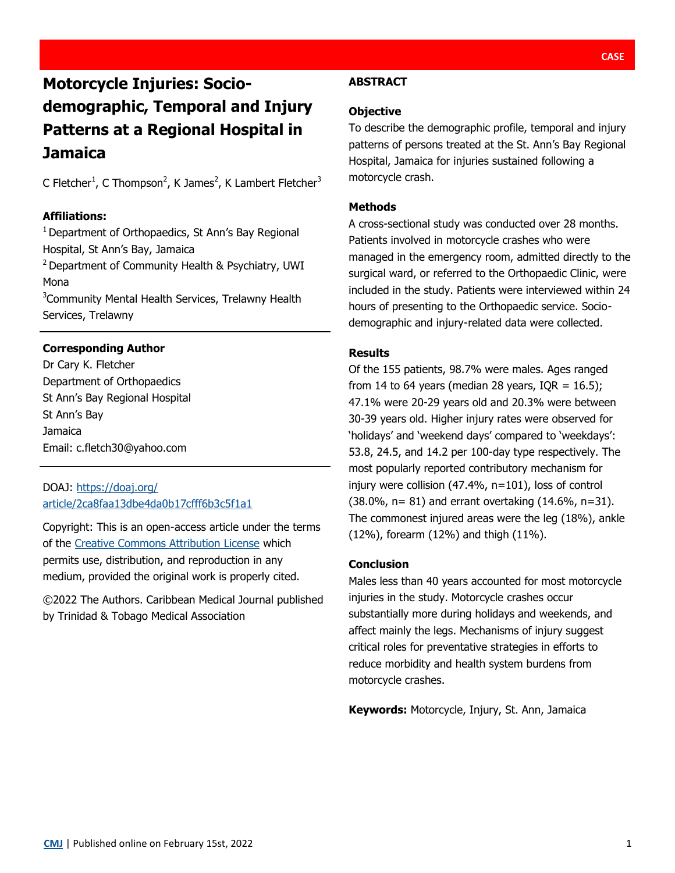# **Motorcycle Injuries: Sociodemographic, Temporal and Injury Patterns at a Regional Hospital in Jamaica**

C Fletcher<sup>1</sup>, C Thompson<sup>2</sup>, K James<sup>2</sup>, K Lambert Fletcher<sup>3</sup>

# **Affiliations:**

<sup>1</sup> Department of Orthopaedics, St Ann's Bay Regional Hospital, St Ann's Bay, Jamaica <sup>2</sup> Department of Community Health & Psychiatry, UWI Mona

<sup>3</sup>Community Mental Health Services, Trelawny Health Services, Trelawny

# **Corresponding Author**

Dr Cary K. Fletcher Department of Orthopaedics St Ann's Bay Regional Hospital St Ann's Bay Jamaica Email: c.fletch30@yahoo.com

## DOAJ: [https://doaj.org/](https://doaj.org/article/2ca8faa13dbe4da0b17cfff6b3c5f1a1) [article/2ca8faa13dbe4da0b17cfff6b3c5f1a1](https://doaj.org/article/2ca8faa13dbe4da0b17cfff6b3c5f1a1)

Copyright: This is an open-access article under the terms of the [Creative Commons Attribution License](http://creativecommons.org/licenses/by/4.0/) which permits use, distribution, and reproduction in any medium, provided the original work is properly cited.

©2022 The Authors. Caribbean Medical Journal published by Trinidad & Tobago Medical Association

# **ABSTRACT**

## **Objective**

To describe the demographic profile, temporal and injury patterns of persons treated at the St. Ann's Bay Regional Hospital, Jamaica for injuries sustained following a motorcycle crash.

## **Methods**

A cross-sectional study was conducted over 28 months. Patients involved in motorcycle crashes who were managed in the emergency room, admitted directly to the surgical ward, or referred to the Orthopaedic Clinic, were included in the study. Patients were interviewed within 24 hours of presenting to the Orthopaedic service. Sociodemographic and injury-related data were collected.

# **Results**

Of the 155 patients, 98.7% were males. Ages ranged from 14 to 64 years (median 28 years,  $IQR = 16.5$ ); 47.1% were 20-29 years old and 20.3% were between 30-39 years old. Higher injury rates were observed for 'holidays' and 'weekend days' compared to 'weekdays': 53.8, 24.5, and 14.2 per 100-day type respectively. The most popularly reported contributory mechanism for injury were collision (47.4%, n=101), loss of control (38.0%, n= 81) and errant overtaking (14.6%, n=31). The commonest injured areas were the leg (18%), ankle (12%), forearm (12%) and thigh (11%).

# **Conclusion**

Males less than 40 years accounted for most motorcycle injuries in the study. Motorcycle crashes occur substantially more during holidays and weekends, and affect mainly the legs. Mechanisms of injury suggest critical roles for preventative strategies in efforts to reduce morbidity and health system burdens from motorcycle crashes.

**Keywords:** Motorcycle, Injury, St. Ann, Jamaica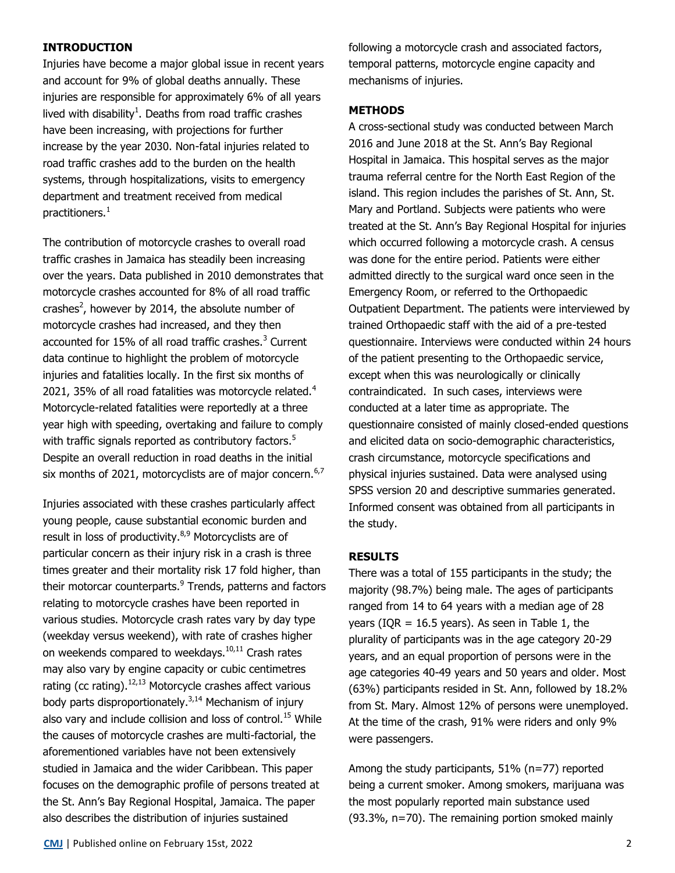#### **INTRODUCTION**

Injuries have become a major global issue in recent years and account for 9% of global deaths annually. These injuries are responsible for approximately 6% of all years lived with disability<sup>1</sup>. Deaths from road traffic crashes have been increasing, with projections for further increase by the year 2030. Non-fatal injuries related to road traffic crashes add to the burden on the health systems, through hospitalizations, visits to emergency department and treatment received from medical practitioners. $1$ 

The contribution of motorcycle crashes to overall road traffic crashes in Jamaica has steadily been increasing over the years. Data published in 2010 demonstrates that motorcycle crashes accounted for 8% of all road traffic crashes<sup>2</sup>, however by 2014, the absolute number of motorcycle crashes had increased, and they then accounted for 15% of all road traffic crashes. $3$  Current data continue to highlight the problem of motorcycle injuries and fatalities locally. In the first six months of 2021, 35% of all road fatalities was motorcycle related. $4$ Motorcycle-related fatalities were reportedly at a three year high with speeding, overtaking and failure to comply with traffic signals reported as contributory factors.<sup>5</sup> Despite an overall reduction in road deaths in the initial six months of 2021, motorcyclists are of major concern.  $6,7$ 

Injuries associated with these crashes particularly affect young people, cause substantial economic burden and result in loss of productivity.<sup>8,9</sup> Motorcyclists are of particular concern as their injury risk in a crash is three times greater and their mortality risk 17 fold higher, than their motorcar counterparts.<sup>9</sup> Trends, patterns and factors relating to motorcycle crashes have been reported in various studies. Motorcycle crash rates vary by day type (weekday versus weekend), with rate of crashes higher on weekends compared to weekdays.<sup>10,11</sup> Crash rates may also vary by engine capacity or cubic centimetres rating (cc rating). $12,13$  Motorcycle crashes affect various body parts disproportionately.<sup>3,14</sup> Mechanism of injury also vary and include collision and loss of control.<sup>15</sup> While the causes of motorcycle crashes are multi-factorial, the aforementioned variables have not been extensively studied in Jamaica and the wider Caribbean. This paper focuses on the demographic profile of persons treated at the St. Ann's Bay Regional Hospital, Jamaica. The paper also describes the distribution of injuries sustained

following a motorcycle crash and associated factors, temporal patterns, motorcycle engine capacity and mechanisms of injuries.

#### **METHODS**

A cross-sectional study was conducted between March 2016 and June 2018 at the St. Ann's Bay Regional Hospital in Jamaica. This hospital serves as the major trauma referral centre for the North East Region of the island. This region includes the parishes of St. Ann, St. Mary and Portland. Subjects were patients who were treated at the St. Ann's Bay Regional Hospital for injuries which occurred following a motorcycle crash. A census was done for the entire period. Patients were either admitted directly to the surgical ward once seen in the Emergency Room, or referred to the Orthopaedic Outpatient Department. The patients were interviewed by trained Orthopaedic staff with the aid of a pre-tested questionnaire. Interviews were conducted within 24 hours of the patient presenting to the Orthopaedic service, except when this was neurologically or clinically contraindicated. In such cases, interviews were conducted at a later time as appropriate. The questionnaire consisted of mainly closed-ended questions and elicited data on socio-demographic characteristics, crash circumstance, motorcycle specifications and physical injuries sustained. Data were analysed using SPSS version 20 and descriptive summaries generated. Informed consent was obtained from all participants in the study.

#### **RESULTS**

There was a total of 155 participants in the study; the majority (98.7%) being male. The ages of participants ranged from 14 to 64 years with a median age of 28 years (IQR =  $16.5$  years). As seen in Table 1, the plurality of participants was in the age category 20-29 years, and an equal proportion of persons were in the age categories 40-49 years and 50 years and older. Most (63%) participants resided in St. Ann, followed by 18.2% from St. Mary. Almost 12% of persons were unemployed. At the time of the crash, 91% were riders and only 9% were passengers.

Among the study participants, 51% (n=77) reported being a current smoker. Among smokers, marijuana was the most popularly reported main substance used (93.3%, n=70). The remaining portion smoked mainly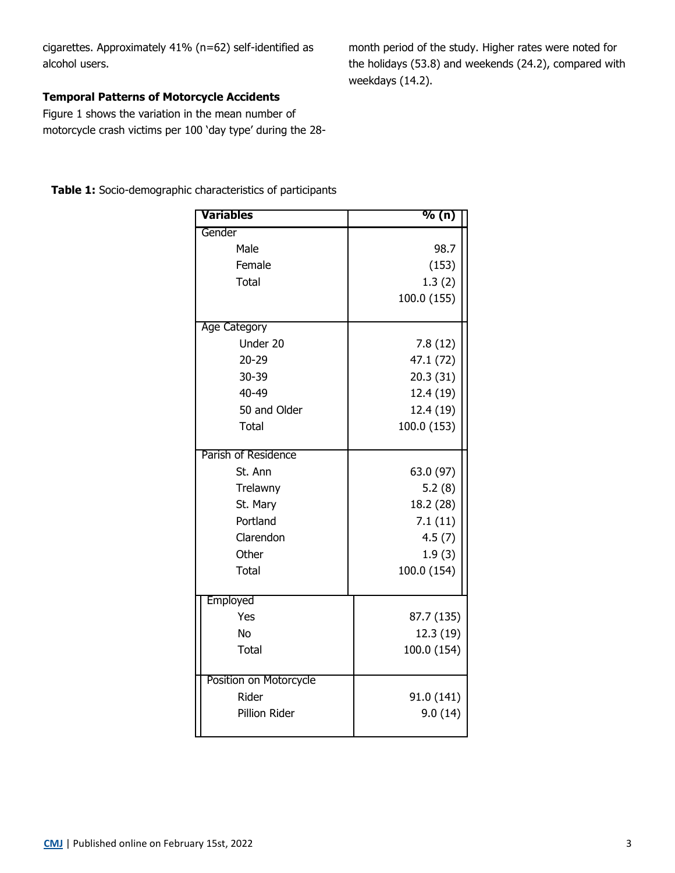cigarettes. Approximately 41% (n=62) self-identified as alcohol users.

month period of the study. Higher rates were noted for the holidays (53.8) and weekends (24.2), compared with weekdays (14.2).

# **Temporal Patterns of Motorcycle Accidents**

Figure 1 shows the variation in the mean number of motorcycle crash victims per 100 'day type' during the 28-

**Table 1:** Socio-demographic characteristics of participants

| Variables              | % (n)       |
|------------------------|-------------|
| Gender                 |             |
| Male                   | 98.7        |
| Female                 | (153)       |
| Total                  | 1.3(2)      |
|                        | 100.0 (155) |
| <b>Age Category</b>    |             |
| Under 20               | 7.8(12)     |
| $20 - 29$              | 47.1 (72)   |
| 30-39                  | 20.3 (31)   |
| 40-49                  | 12.4 (19)   |
| 50 and Older           | 12.4 (19)   |
| <b>Total</b>           | 100.0 (153) |
| Parish of Residence    |             |
| St. Ann                | 63.0 (97)   |
| Trelawny               | 5.2(8)      |
| St. Mary               | 18.2 (28)   |
| Portland               | 7.1(11)     |
| Clarendon              | 4.5(7)      |
| Other                  | 1.9(3)      |
| <b>Total</b>           | 100.0 (154) |
| Employed               |             |
| Yes                    | 87.7 (135)  |
| <b>No</b>              | 12.3 (19)   |
| <b>Total</b>           | 100.0 (154) |
| Position on Motorcycle |             |
| Rider                  | 91.0 (141)  |
| <b>Pillion Rider</b>   | 9.0(14)     |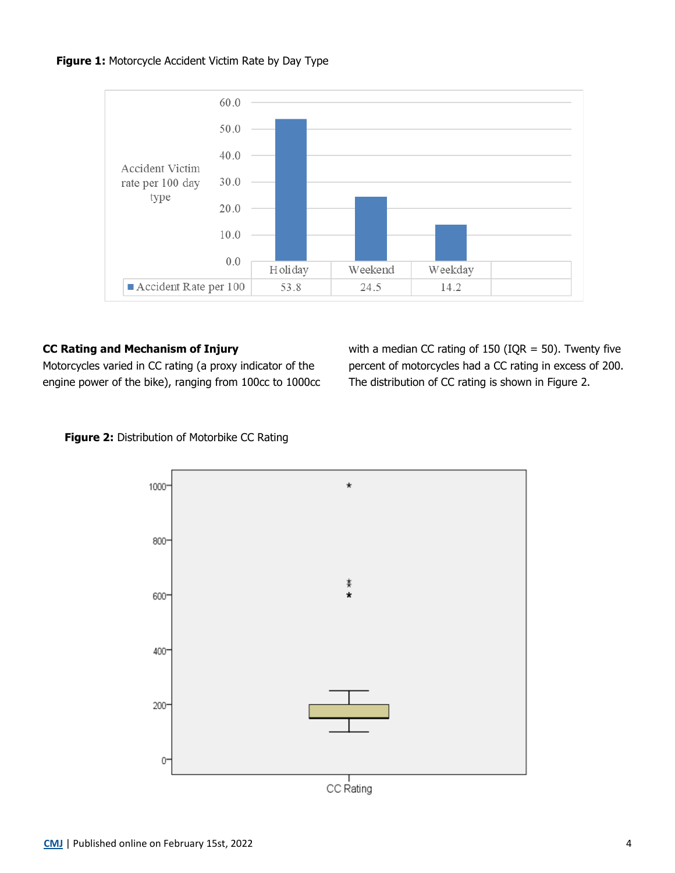## **Figure 1:** Motorcycle Accident Victim Rate by Day Type



#### **CC Rating and Mechanism of Injury**

Motorcycles varied in CC rating (a proxy indicator of the engine power of the bike), ranging from 100cc to 1000cc with a median CC rating of 150 (IQR = 50). Twenty five percent of motorcycles had a CC rating in excess of 200. The distribution of CC rating is shown in Figure 2.

## **Figure 2:** Distribution of Motorbike CC Rating

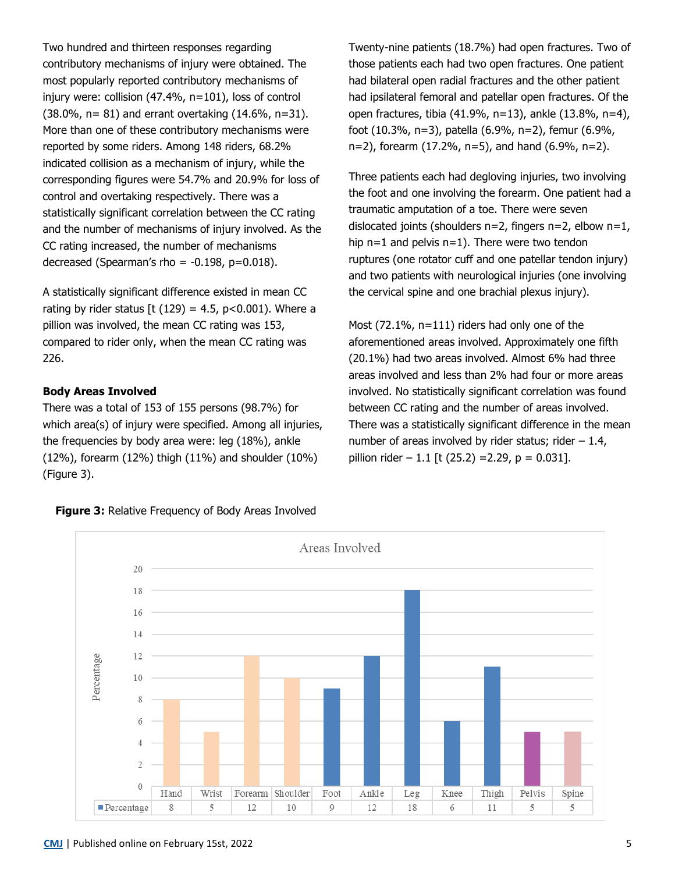Two hundred and thirteen responses regarding contributory mechanisms of injury were obtained. The most popularly reported contributory mechanisms of injury were: collision (47.4%, n=101), loss of control (38.0%, n= 81) and errant overtaking (14.6%, n=31). More than one of these contributory mechanisms were reported by some riders. Among 148 riders, 68.2% indicated collision as a mechanism of injury, while the corresponding figures were 54.7% and 20.9% for loss of control and overtaking respectively. There was a statistically significant correlation between the CC rating and the number of mechanisms of injury involved. As the CC rating increased, the number of mechanisms decreased (Spearman's rho =  $-0.198$ , p= $0.018$ ).

A statistically significant difference existed in mean CC rating by rider status  $[t (129) = 4.5, p<0.001)$ . Where a pillion was involved, the mean CC rating was 153, compared to rider only, when the mean CC rating was 226.

# **Body Areas Involved**

There was a total of 153 of 155 persons (98.7%) for which area(s) of injury were specified. Among all injuries, the frequencies by body area were: leg (18%), ankle (12%), forearm (12%) thigh (11%) and shoulder (10%) (Figure 3).



Twenty-nine patients (18.7%) had open fractures. Two of those patients each had two open fractures. One patient had bilateral open radial fractures and the other patient had ipsilateral femoral and patellar open fractures. Of the open fractures, tibia (41.9%, n=13), ankle (13.8%, n=4), foot (10.3%, n=3), patella (6.9%, n=2), femur (6.9%, n=2), forearm (17.2%, n=5), and hand (6.9%, n=2).

Three patients each had degloving injuries, two involving the foot and one involving the forearm. One patient had a traumatic amputation of a toe. There were seven dislocated joints (shoulders  $n=2$ , fingers  $n=2$ , elbow  $n=1$ , hip n=1 and pelvis n=1). There were two tendon ruptures (one rotator cuff and one patellar tendon injury) and two patients with neurological injuries (one involving the cervical spine and one brachial plexus injury).

Most (72.1%, n=111) riders had only one of the aforementioned areas involved. Approximately one fifth (20.1%) had two areas involved. Almost 6% had three areas involved and less than 2% had four or more areas involved. No statistically significant correlation was found between CC rating and the number of areas involved. There was a statistically significant difference in the mean number of areas involved by rider status; rider  $-1.4$ , pillion rider  $-1.1$  [t (25.2) = 2.29, p = 0.031].

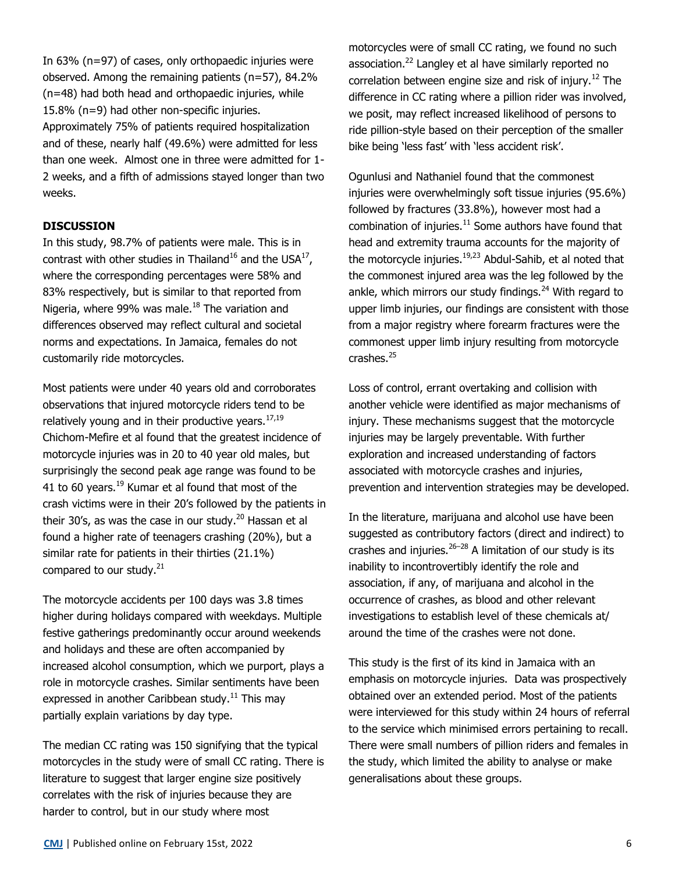In 63% (n=97) of cases, only orthopaedic injuries were observed. Among the remaining patients (n=57), 84.2% (n=48) had both head and orthopaedic injuries, while 15.8% (n=9) had other non-specific injuries. Approximately 75% of patients required hospitalization and of these, nearly half (49.6%) were admitted for less than one week. Almost one in three were admitted for 1- 2 weeks, and a fifth of admissions stayed longer than two weeks.

#### **DISCUSSION**

In this study, 98.7% of patients were male. This is in contrast with other studies in Thailand<sup>16</sup> and the USA<sup>17</sup>, where the corresponding percentages were 58% and 83% respectively, but is similar to that reported from Nigeria, where 99% was male. $^{18}$  The variation and differences observed may reflect cultural and societal norms and expectations. In Jamaica, females do not customarily ride motorcycles.

Most patients were under 40 years old and corroborates observations that injured motorcycle riders tend to be relatively young and in their productive years.  $17,19$ Chichom-Mefire et al found that the greatest incidence of motorcycle injuries was in 20 to 40 year old males, but surprisingly the second peak age range was found to be 41 to 60 years.<sup>19</sup> Kumar et al found that most of the crash victims were in their 20's followed by the patients in their 30's, as was the case in our study.<sup>20</sup> Hassan et al found a higher rate of teenagers crashing (20%), but a similar rate for patients in their thirties (21.1%) compared to our study. $^{21}$ 

The motorcycle accidents per 100 days was 3.8 times higher during holidays compared with weekdays. Multiple festive gatherings predominantly occur around weekends and holidays and these are often accompanied by increased alcohol consumption, which we purport, plays a role in motorcycle crashes. Similar sentiments have been expressed in another Caribbean study. $11$  This may partially explain variations by day type.

The median CC rating was 150 signifying that the typical motorcycles in the study were of small CC rating. There is literature to suggest that larger engine size positively correlates with the risk of injuries because they are harder to control, but in our study where most

motorcycles were of small CC rating, we found no such association.<sup>22</sup> Langley et al have similarly reported no correlation between engine size and risk of injury.<sup>12</sup> The difference in CC rating where a pillion rider was involved, we posit, may reflect increased likelihood of persons to ride pillion-style based on their perception of the smaller bike being 'less fast' with 'less accident risk'.

Ogunlusi and Nathaniel found that the commonest injuries were overwhelmingly soft tissue injuries (95.6%) followed by fractures (33.8%), however most had a combination of injuries. $11$  Some authors have found that head and extremity trauma accounts for the majority of the motorcycle injuries.<sup>19,23</sup> Abdul-Sahib, et al noted that the commonest injured area was the leg followed by the ankle, which mirrors our study findings. $^{24}$  With regard to upper limb injuries, our findings are consistent with those from a major registry where forearm fractures were the commonest upper limb injury resulting from motorcycle crashes. $25$ 

Loss of control, errant overtaking and collision with another vehicle were identified as major mechanisms of injury. These mechanisms suggest that the motorcycle injuries may be largely preventable. With further exploration and increased understanding of factors associated with motorcycle crashes and injuries, prevention and intervention strategies may be developed.

In the literature, marijuana and alcohol use have been suggested as contributory factors (direct and indirect) to crashes and injuries. $26-28$  A limitation of our study is its inability to incontrovertibly identify the role and association, if any, of marijuana and alcohol in the occurrence of crashes, as blood and other relevant investigations to establish level of these chemicals at/ around the time of the crashes were not done.

This study is the first of its kind in Jamaica with an emphasis on motorcycle injuries. Data was prospectively obtained over an extended period. Most of the patients were interviewed for this study within 24 hours of referral to the service which minimised errors pertaining to recall. There were small numbers of pillion riders and females in the study, which limited the ability to analyse or make generalisations about these groups.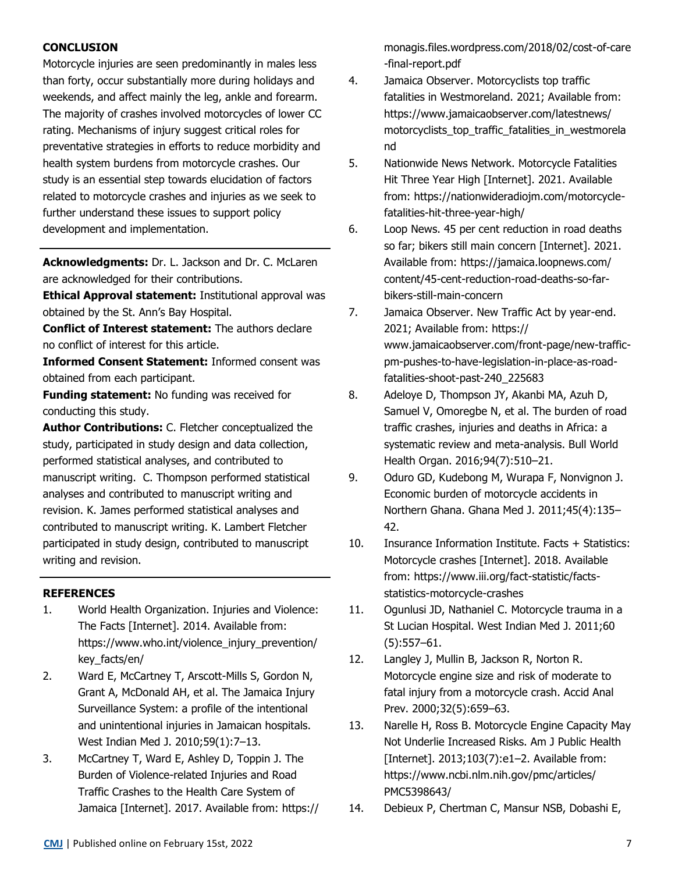## **CONCLUSION**

Motorcycle injuries are seen predominantly in males less than forty, occur substantially more during holidays and weekends, and affect mainly the leg, ankle and forearm. The majority of crashes involved motorcycles of lower CC rating. Mechanisms of injury suggest critical roles for preventative strategies in efforts to reduce morbidity and health system burdens from motorcycle crashes. Our study is an essential step towards elucidation of factors related to motorcycle crashes and injuries as we seek to further understand these issues to support policy development and implementation.

**Acknowledgments:** Dr. L. Jackson and Dr. C. McLaren are acknowledged for their contributions.

**Ethical Approval statement:** Institutional approval was obtained by the St. Ann's Bay Hospital.

**Conflict of Interest statement:** The authors declare no conflict of interest for this article.

**Informed Consent Statement:** Informed consent was obtained from each participant.

**Funding statement:** No funding was received for conducting this study.

**Author Contributions:** C. Fletcher conceptualized the study, participated in study design and data collection, performed statistical analyses, and contributed to manuscript writing. C. Thompson performed statistical analyses and contributed to manuscript writing and revision. K. James performed statistical analyses and contributed to manuscript writing. K. Lambert Fletcher participated in study design, contributed to manuscript writing and revision.

#### **REFERENCES**

- 1. World Health Organization. Injuries and Violence: The Facts [Internet]. 2014. Available from: https://www.who.int/violence\_injury\_prevention/ key facts/en/
- 2. Ward E, McCartney T, Arscott-Mills S, Gordon N, Grant A, McDonald AH, et al. The Jamaica Injury Surveillance System: a profile of the intentional and unintentional injuries in Jamaican hospitals. West Indian Med J. 2010;59(1):7–13.
- 3. McCartney T, Ward E, Ashley D, Toppin J. The Burden of Violence-related Injuries and Road Traffic Crashes to the Health Care System of Jamaica [Internet]. 2017. Available from: https://

monagis.files.wordpress.com/2018/02/cost-of-care -final-report.pdf

- 4. Jamaica Observer. Motorcyclists top traffic fatalities in Westmoreland. 2021; Available from: https://www.jamaicaobserver.com/latestnews/ motorcyclists\_top\_traffic\_fatalities\_in\_westmorela nd
- 5. Nationwide News Network. Motorcycle Fatalities Hit Three Year High [Internet]. 2021. Available from: https://nationwideradiojm.com/motorcyclefatalities-hit-three-year-high/
- 6. Loop News. 45 per cent reduction in road deaths so far; bikers still main concern [Internet]. 2021. Available from: https://jamaica.loopnews.com/ content/45-cent-reduction-road-deaths-so-farbikers-still-main-concern
- 7. Jamaica Observer. New Traffic Act by year-end. 2021; Available from: https:// www.jamaicaobserver.com/front-page/new-trafficpm-pushes-to-have-legislation-in-place-as-roadfatalities-shoot-past-240\_225683
- 8. Adeloye D, Thompson JY, Akanbi MA, Azuh D, Samuel V, Omoregbe N, et al. The burden of road traffic crashes, injuries and deaths in Africa: a systematic review and meta-analysis. Bull World Health Organ. 2016;94(7):510–21.
- 9. Oduro GD, Kudebong M, Wurapa F, Nonvignon J. Economic burden of motorcycle accidents in Northern Ghana. Ghana Med J. 2011;45(4):135– 42.
- 10. Insurance Information Institute. Facts + Statistics: Motorcycle crashes [Internet]. 2018. Available from: https://www.iii.org/fact-statistic/factsstatistics-motorcycle-crashes
- 11. Ogunlusi JD, Nathaniel C. Motorcycle trauma in a St Lucian Hospital. West Indian Med J. 2011;60 (5):557–61.
- 12. Langley J, Mullin B, Jackson R, Norton R. Motorcycle engine size and risk of moderate to fatal injury from a motorcycle crash. Accid Anal Prev. 2000;32(5):659–63.
- 13. Narelle H, Ross B. Motorcycle Engine Capacity May Not Underlie Increased Risks. Am J Public Health [Internet]. 2013;103(7):e1–2. Available from: https://www.ncbi.nlm.nih.gov/pmc/articles/ PMC5398643/
- 14. Debieux P, Chertman C, Mansur NSB, Dobashi E,